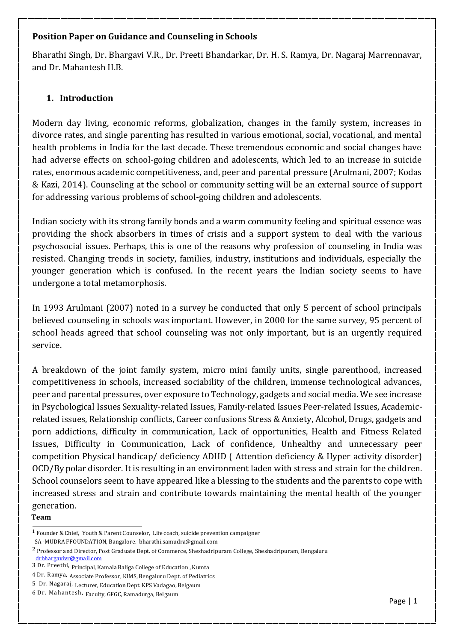### **Position Paper on Guidance and Counseling in Schools**

Bharathi Singh, Dr. Bhargavi V.R., Dr. Preeti Bhandarkar, Dr. H. S. Ramya, Dr. Nagaraj Marrennavar, and Dr. Mahantesh H.B.

## **1. Introduction**

Modern day living, economic reforms, globalization, changes in the family system, increases in divorce rates, and single parenting has resulted in various emotional, social, vocational, and mental health problems in India for the last decade. These tremendous economic and social changes have had adverse effects on school-going children and adolescents, which led to an increase in suicide rates, enormous academic competitiveness, and, peer and parental pressure (Arulmani, 2007; Kodas & Kazi, 2014). Counseling at the school or community setting will be an external source of support for addressing various problems of school-going children and adolescents.

Indian society with its strong family bonds and a warm community feeling and spiritual essence was providing the shock absorbers in times of crisis and a support system to deal with the various psychosocial issues. Perhaps, this is one of the reasons why profession of counseling in India was resisted. Changing trends in society, families, industry, institutions and individuals, especially the younger generation which is confused. In the recent years the Indian society seems to have undergone a total metamorphosis.

In 1993 Arulmani (2007) noted in a survey he conducted that only 5 percent of school principals believed counseling in schools was important. However, in 2000 for the same survey, 95 percent of school heads agreed that school counseling was not only important, but is an urgently required service.

A breakdown of the joint family system, micro mini family units, single parenthood, increased competitiveness in schools, increased sociability of the children, immense technological advances, peer and parental pressures, over exposure to Technology, gadgets and social media. We see increase in Psychological Issues Sexuality-related Issues, Family-related Issues Peer-related Issues, Academicrelated issues, Relationship conflicts, Career confusions Stress & Anxiety, Alcohol, Drugs, gadgets and porn addictions, difficulty in communication, Lack of opportunities, Health and Fitness Related Issues, Difficulty in Communication, Lack of confidence, Unhealthy and unnecessary peer competition Physical handicap/ deficiency ADHD ( Attention deficiency & Hyper activity disorder) OCD/By polar disorder. It is resulting in an environment laden with stress and strain for the children. School counselors seem to have appeared like a blessing to the students and the parents to cope with increased stress and strain and contribute towards maintaining the mental health of the younger generation.

#### **Team**

<sup>1</sup> Founder& Chief, Youth & Parent Counselor, Life coach, suicide prevention campaigner

SA -MUDRA FFOUNDATION, Bangalore. bharathi.samudra@gmail.com

<sup>2</sup> Professor and Director, Post Graduate Dept. of Commerce, Sheshadripuram College, Sheshadripuram, Bengaluru [drbhargavivr@gmail.com](mailto:drbhargavivr@gmail.com)

<sup>3</sup> Dr. Preethi, Principal, Kamala Baliga College of Education , Kumta

<sup>4</sup> Dr. Ramya, Associate Professor, KIMS, Bengaluru Dept. of Pediatrics

<sup>5</sup> Dr. Nagaraj, Lecturer, Education Dept. KPS Vadagao, Belgaum

<sup>6</sup> Dr. Mahantesh, Faculty, GFGC, Ramadurga, Belgaum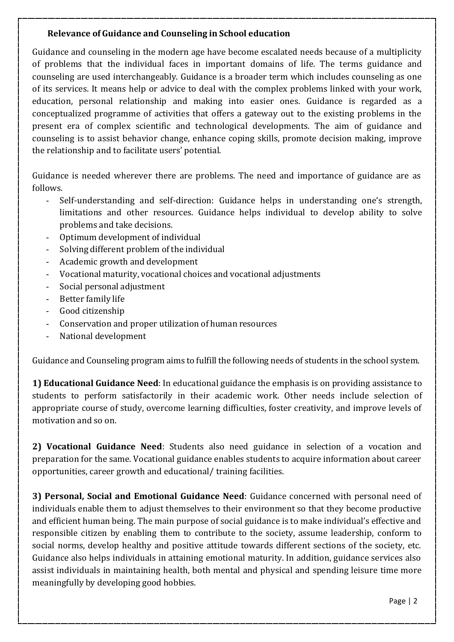### **Relevance of Guidance and Counseling in School education**

Guidance and counseling in the modern age have become escalated needs because of a multiplicity of problems that the individual faces in important domains of life. The terms guidance and counseling are used interchangeably. Guidance is a broader term which includes counseling as one of its services. It means help or advice to deal with the complex problems linked with your work, education, personal relationship and making into easier ones. Guidance is regarded as a conceptualized programme of activities that offers a gateway out to the existing problems in the present era of complex scientific and technological developments. The aim of guidance and counseling is to assist behavior change, enhance coping skills, promote decision making, improve the relationship and to facilitate users' potential.

Guidance is needed wherever there are problems. The need and importance of guidance are as follows.

- Self-understanding and self-direction: Guidance helps in understanding one's strength, limitations and other resources. Guidance helps individual to develop ability to solve problems and take decisions.
- Optimum development of individual
- Solving different problem of the individual
- Academic growth and development
- Vocational maturity, vocational choices and vocational adjustments
- Social personal adjustment
- Better family life
- Good citizenship
- Conservation and proper utilization of human resources
- National development

Guidance and Counseling program aims to fulfill the following needs of students in the school system.

**1) Educational Guidance Need**: In educational guidance the emphasis is on providing assistance to students to perform satisfactorily in their academic work. Other needs include selection of appropriate course of study, overcome learning difficulties, foster creativity, and improve levels of motivation and so on.

**2) Vocational Guidance Need**: Students also need guidance in selection of a vocation and preparation for the same. Vocational guidance enables students to acquire information about career opportunities, career growth and educational/ training facilities.

**3) Personal, Social and Emotional Guidance Need**: Guidance concerned with personal need of individuals enable them to adjust themselves to their environment so that they become productive and efficient human being. The main purpose of social guidance is to make individual's effective and responsible citizen by enabling them to contribute to the society, assume leadership, conform to social norms, develop healthy and positive attitude towards different sections of the society, etc. Guidance also helps individuals in attaining emotional maturity. In addition, guidance services also assist individuals in maintaining health, both mental and physical and spending leisure time more meaningfully by developing good hobbies.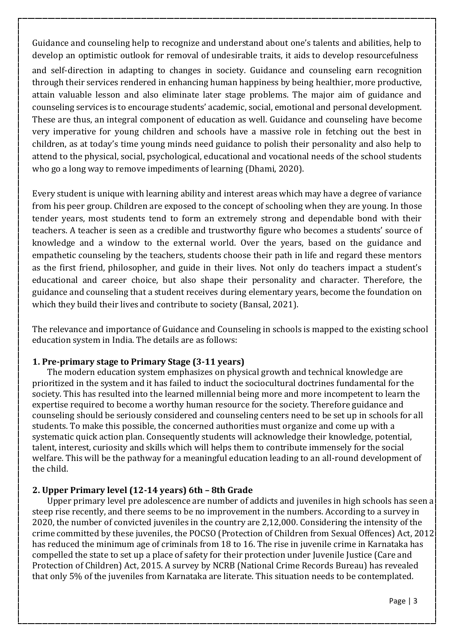Guidance and counseling help to recognize and understand about one's talents and abilities, help to develop an optimistic outlook for removal of undesirable traits, it aids to develop resourcefulness and self-direction in adapting to changes in society. Guidance and counseling earn recognition through their services rendered in enhancing human happiness by being healthier, more productive, attain valuable lesson and also eliminate later stage problems. The major aim of guidance and counseling services is to encourage students' academic, social, emotional and personal development. These are thus, an integral component of education as well. Guidance and counseling have become very imperative for young children and schools have a massive role in fetching out the best in children, as at today's time young minds need guidance to polish their personality and also help to attend to the physical, social, psychological, educational and vocational needs of the school students who go a long way to remove impediments of learning (Dhami, 2020).

Every student is unique with learning ability and interest areas which may have a degree of variance from his peer group. Children are exposed to the concept of schooling when they are young. In those tender years, most students tend to form an extremely strong and dependable bond with their teachers. A teacher is seen as a credible and trustworthy figure who becomes a students' source of knowledge and a window to the external world. Over the years, based on the guidance and empathetic counseling by the teachers, students choose their path in life and regard these mentors as the first friend, philosopher, and guide in their lives. Not only do teachers impact a student's educational and career choice, but also shape their personality and character. Therefore, the guidance and counseling that a student receives during elementary years, become the foundation on which they build their lives and contribute to society (Bansal, 2021).

The relevance and importance of Guidance and Counseling in schools is mapped to the existing school education system in India. The details are as follows:

#### **1. Pre-primary stage to Primary Stage (3-11 years)**

The modern education system emphasizes on physical growth and technical knowledge are prioritized in the system and it has failed to induct the sociocultural doctrines fundamental for the society. This has resulted into the learned millennial being more and more incompetent to learn the expertise required to become a worthy human resource for the society. Therefore guidance and counseling should be seriously considered and counseling centers need to be set up in schools for all students. To make this possible, the concerned authorities must organize and come up with a systematic quick action plan. Consequently students will acknowledge their knowledge, potential, talent, interest, curiosity and skills which will helps them to contribute immensely for the social welfare. This will be the pathway for a meaningful education leading to an all-round development of the child.

### **2. Upper Primary level (12-14 years) 6th – 8th Grade**

Upper primary level pre adolescence are number of addicts and juveniles in high schools has seen a steep rise recently, and there seems to be no improvement in the numbers. According to a survey in 2020, the number of convicted juveniles in the country are 2,12,000. Considering the intensity of the crime committed by these juveniles, the POCSO (Protection of Children from Sexual Offences) Act, 2012 has reduced the minimum age of criminals from 18 to 16. The rise in juvenile crime in Karnataka has compelled the state to set up a place of safety for their protection under Juvenile Justice (Care and Protection of Children) Act, 2015. A survey by NCRB (National Crime Records Bureau) has revealed that only 5% of the juveniles from Karnataka are literate. This situation needs to be contemplated.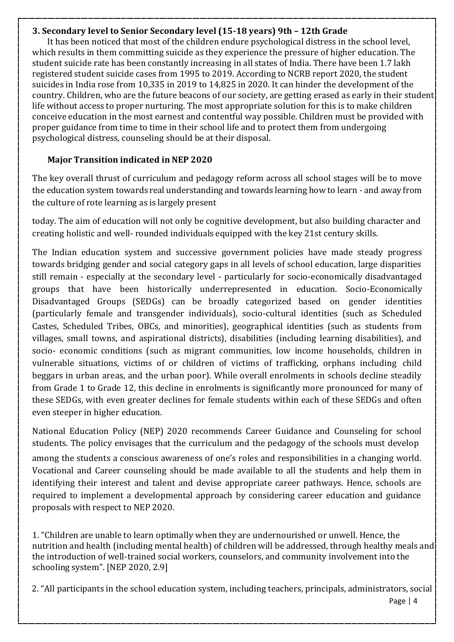### **3. Secondary level to Senior Secondary level (15-18 years) 9th – 12th Grade**

It has been noticed that most of the children endure psychological distress in the school level, which results in them committing suicide as they experience the pressure of higher education. The student suicide rate has been constantly increasing in all states of India. There have been 1.7 lakh registered student suicide cases from 1995 to 2019. According to NCRB report 2020, the student suicides in India rose from 10,335 in 2019 to 14,825 in 2020. It can hinder the development of the country. Children, who are the future beacons of our society, are getting erased as early in their student life without access to proper nurturing. The most appropriate solution for this is to make children conceive education in the most earnest and contentful way possible. Children must be provided with proper guidance from time to time in their school life and to protect them from undergoing psychological distress, counseling should be at their disposal.

# **Major Transition indicated in NEP 2020**

The key overall thrust of curriculum and pedagogy reform across all school stages will be to move the education system towards real understanding and towards learning how to learn - and away from the culture of rote learning as is largely present

today. The aim of education will not only be cognitive development, but also building character and creating holistic and well- rounded individuals equipped with the key 21st century skills.

The Indian education system and successive government policies have made steady progress towards bridging gender and social category gaps in all levels of school education, large disparities still remain - especially at the secondary level - particularly for socio-economically disadvantaged groups that have been historically underrepresented in education. Socio-Economically Disadvantaged Groups (SEDGs) can be broadly categorized based on gender identities (particularly female and transgender individuals), socio-cultural identities (such as Scheduled Castes, Scheduled Tribes, OBCs, and minorities), geographical identities (such as students from villages, small towns, and aspirational districts), disabilities (including learning disabilities), and socio- economic conditions (such as migrant communities, low income households, children in vulnerable situations, victims of or children of victims of trafficking, orphans including child beggars in urban areas, and the urban poor). While overall enrolments in schools decline steadily from Grade 1 to Grade 12, this decline in enrolments is significantly more pronounced for many of these SEDGs, with even greater declines for female students within each of these SEDGs and often even steeper in higher education.

National Education Policy (NEP) 2020 recommends Career Guidance and Counseling for school students. The policy envisages that the curriculum and the pedagogy of the schools must develop among the students a conscious awareness of one's roles and responsibilities in a changing world. Vocational and Career counseling should be made available to all the students and help them in identifying their interest and talent and devise appropriate career pathways. Hence, schools are required to implement a developmental approach by considering career education and guidance proposals with respect to NEP 2020.

1. "Children are unable to learn optimally when they are undernourished or unwell. Hence, the nutrition and health (including mental health) of children will be addressed, through healthy meals and the introduction of well-trained social workers, counselors, and community involvement into the schooling system". [NEP 2020, 2.9]

2. "All participants in the school education system, including teachers, principals, administrators, social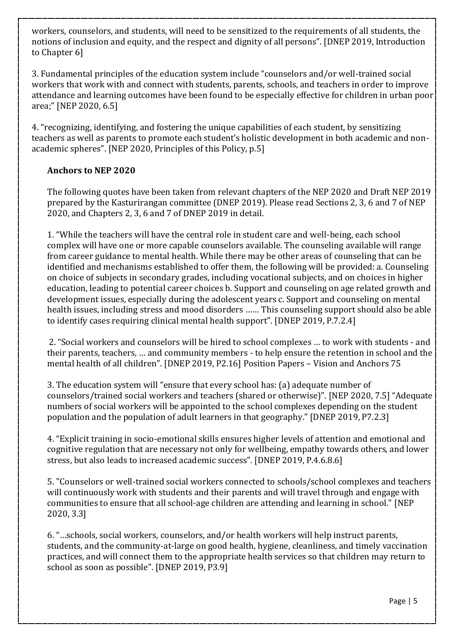workers, counselors, and students, will need to be sensitized to the requirements of all students, the notions of inclusion and equity, and the respect and dignity of all persons". [DNEP 2019, Introduction to Chapter 6]

3. Fundamental principles of the education system include "counselors and/or well-trained social workers that work with and connect with students, parents, schools, and teachers in order to improve attendance and learning outcomes have been found to be especially effective for children in urban poor area;" [NEP 2020, 6.5]

4. "recognizing, identifying, and fostering the unique capabilities of each student, by sensitizing teachers as well as parents to promote each student's holistic development in both academic and nonacademic spheres". [NEP 2020, Principles of this Policy, p.5]

### **Anchors to NEP 2020**

The following quotes have been taken from relevant chapters of the NEP 2020 and Draft NEP 2019 prepared by the Kasturirangan committee (DNEP 2019). Please read Sections 2, 3, 6 and 7 of NEP 2020, and Chapters 2, 3, 6 and 7 of DNEP 2019 in detail.

1. "While the teachers will have the central role in student care and well-being, each school complex will have one or more capable counselors available. The counseling available will range from career guidance to mental health. While there may be other areas of counseling that can be identified and mechanisms established to offer them, the following will be provided: a. Counseling on choice of subjects in secondary grades, including vocational subjects, and on choices in higher education, leading to potential career choices b. Support and counseling on age related growth and development issues, especially during the adolescent years c. Support and counseling on mental health issues, including stress and mood disorders …… This counseling support should also be able to identify cases requiring clinical mental health support". [DNEP 2019, P.7.2.4]

2. "Social workers and counselors will be hired to school complexes … to work with students - and their parents, teachers, … and community members - to help ensure the retention in school and the mental health of all children". [DNEP 2019, P2.16] Position Papers – Vision and Anchors 75

3. The education system will "ensure that every school has: (a) adequate number of counselors/trained social workers and teachers (shared or otherwise)". [NEP 2020, 7.5] "Adequate numbers of social workers will be appointed to the school complexes depending on the student population and the population of adult learners in that geography." [DNEP 2019, P7.2.3]

4. "Explicit training in socio-emotional skills ensures higher levels of attention and emotional and cognitive regulation that are necessary not only for wellbeing, empathy towards others, and lower stress, but also leads to increased academic success". [DNEP 2019, P.4.6.8.6]

5. "Counselors or well-trained social workers connected to schools/school complexes and teachers will continuously work with students and their parents and will travel through and engage with communities to ensure that all school-age children are attending and learning in school." [NEP 2020, 3.3]

6. "…schools, social workers, counselors, and/or health workers will help instruct parents, students, and the community-at-large on good health, hygiene, cleanliness, and timely vaccination practices, and will connect them to the appropriate health services so that children may return to school as soon as possible". [DNEP 2019, P3.9]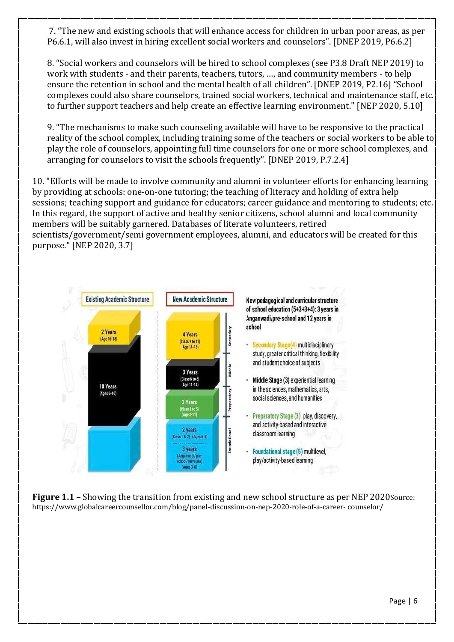7. "The new and existing schools that will enhance access for children in urban poor areas, as per P6.6.1, will also invest in hiring excellent social workers and counselors". [DNEP 2019, P6.6.2]

8. "Social workers and counselors will be hired to school complexes (see P3.8 Draft NEP 2019) to work with students - and their parents, teachers, tutors, …, and community members - to help ensure the retention in school and the mental health of all children". [DNEP 2019, P2.16] "School complexes could also share counselors, trained social workers, technical and maintenance staff, etc. to further support teachers and help create an effective learning environment." [NEP 2020, 5.10]

9. "The mechanisms to make such counseling available will have to be responsive to the practical reality of the school complex, including training some of the teachers or social workers to be able to play the role of counselors, appointing full time counselors for one or more school complexes, and arranging for counselors to visit the schools frequently". [DNEP 2019, P.7.2.4]

10. "Efforts will be made to involve community and alumni in volunteer efforts for enhancing learning by providing at schools: one-on-one tutoring; the teaching of literacy and holding of extra help sessions; teaching support and guidance for educators; career guidance and mentoring to students; etc. In this regard, the support of active and healthy senior citizens, school alumni and local community members will be suitably garnered. Databases of literate volunteers, retired scientists/government/semi government employees, alumni, and educators will be created for this purpose." [NEP 2020, 3.7]



**Figure 1.1 –** Showing the transition from existing and new school structure as per NEP 2020Source: https:[//www.globalcareercounsellor.com/blog/panel-discussion-on-nep-2020-role-of-a-career-](http://www.globalcareercounsellor.com/blog/panel-discussion-on-nep-2020-role-of-a-career-) counselor/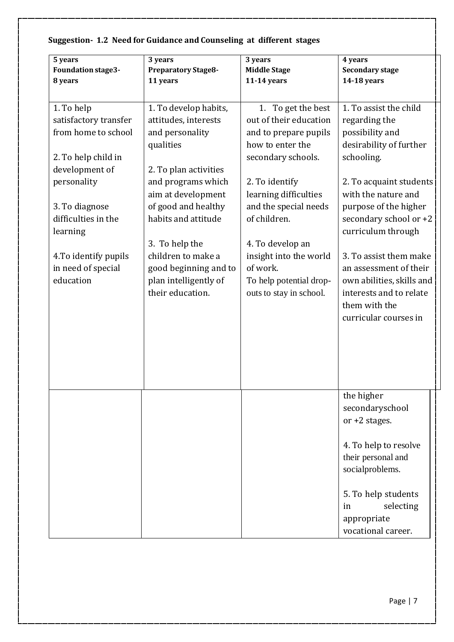| 5 years                   | 3 years                    | 3 years                 | 4 years                   |
|---------------------------|----------------------------|-------------------------|---------------------------|
| <b>Foundation stage3-</b> | <b>Preparatory Stage8-</b> | <b>Middle Stage</b>     | <b>Secondary stage</b>    |
| 8 years                   | 11 years                   | 11-14 years             | 14-18 years               |
|                           |                            |                         |                           |
| 1. To help                | 1. To develop habits,      | 1. To get the best      | 1. To assist the child    |
| satisfactory transfer     | attitudes, interests       | out of their education  | regarding the             |
| from home to school       | and personality            | and to prepare pupils   | possibility and           |
|                           | qualities                  | how to enter the        | desirability of further   |
| 2. To help child in       |                            | secondary schools.      | schooling.                |
| development of            | 2. To plan activities      |                         |                           |
| personality               | and programs which         | 2. To identify          | 2. To acquaint students   |
|                           | aim at development         | learning difficulties   | with the nature and       |
| 3. To diagnose            | of good and healthy        | and the special needs   | purpose of the higher     |
| difficulties in the       | habits and attitude        | of children.            | secondary school or +2    |
| learning                  |                            |                         | curriculum through        |
|                           | 3. To help the             | 4. To develop an        |                           |
| 4. To identify pupils     | children to make a         | insight into the world  | 3. To assist them make    |
| in need of special        | good beginning and to      | of work.                | an assessment of their    |
| education                 | plan intelligently of      | To help potential drop- | own abilities, skills and |
|                           | their education.           | outs to stay in school. | interests and to relate   |
|                           |                            |                         | them with the             |
|                           |                            |                         | curricular courses in     |
|                           |                            |                         |                           |
|                           |                            |                         |                           |
|                           |                            |                         |                           |
|                           |                            |                         |                           |
|                           |                            |                         |                           |
|                           |                            |                         | the higher                |
|                           |                            |                         | secondaryschool           |
|                           |                            |                         | or $+2$ stages.           |
|                           |                            |                         |                           |
|                           |                            |                         | 4. To help to resolve     |
|                           |                            |                         | their personal and        |
|                           |                            |                         | socialproblems.           |
|                           |                            |                         |                           |
|                           |                            |                         | 5. To help students       |
|                           |                            |                         | selecting<br>in           |
|                           |                            |                         | appropriate               |
|                           |                            |                         | vocational career.        |

# **Suggestion- 1.2 Need for Guidance and Counseling at different stages**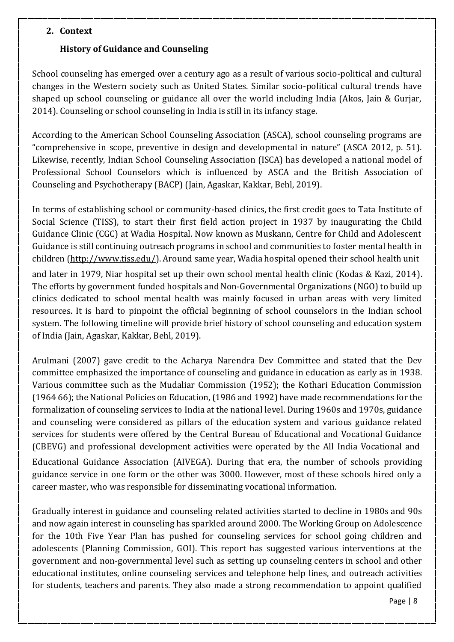### **2. Context**

### **History of Guidance and Counseling**

School counseling has emerged over a century ago as a result of various socio-political and cultural changes in the Western society such as United States. Similar socio-political cultural trends have shaped up school counseling or guidance all over the world including India (Akos, Jain & Gurjar, 2014). Counseling or school counseling in India is still in its infancy stage.

According to the American School Counseling Association (ASCA), school counseling programs are "comprehensive in scope, preventive in design and developmental in nature" (ASCA 2012, p. 51). Likewise, recently, Indian School Counseling Association (ISCA) has developed a national model of Professional School Counselors which is influenced by ASCA and the British Association of Counseling and Psychotherapy (BACP) (Jain, Agaskar, Kakkar, Behl, 2019).

In terms of establishing school or community-based clinics, the first credit goes to Tata Institute of Social Science (TISS), to start their first field action project in 1937 by inaugurating the Child Guidance Clinic (CGC) at Wadia Hospital. Now known as Muskann, Centre for Child and Adolescent Guidance is still continuing outreach programs in school and communities to foster mental health in children [\(http://www.tiss.edu/\)](http://www.tiss.edu/). Around same year, Wadia hospital opened their school health unit and later in 1979, Niar hospital set up their own school mental health clinic (Kodas & Kazi, 2014). The efforts by government funded hospitals and Non-Governmental Organizations (NGO) to build up clinics dedicated to school mental health was mainly focused in urban areas with very limited resources. It is hard to pinpoint the official beginning of school counselors in the Indian school system. The following timeline will provide brief history of school counseling and education system of India (Jain, Agaskar, Kakkar, Behl, 2019).

Arulmani (2007) gave credit to the Acharya Narendra Dev Committee and stated that the Dev committee emphasized the importance of counseling and guidance in education as early as in 1938. Various committee such as the Mudaliar Commission (1952); the Kothari Education Commission (1964 66); the National Policies on Education, (1986 and 1992) have made recommendations for the formalization of counseling services to India at the national level. During 1960s and 1970s, guidance and counseling were considered as pillars of the education system and various guidance related services for students were offered by the Central Bureau of Educational and Vocational Guidance (CBEVG) and professional development activities were operated by the All India Vocational and

Educational Guidance Association (AIVEGA). During that era, the number of schools providing guidance service in one form or the other was 3000. However, most of these schools hired only a career master, who was responsible for disseminating vocational information.

Gradually interest in guidance and counseling related activities started to decline in 1980s and 90s and now again interest in counseling has sparkled around 2000. The Working Group on Adolescence for the 10th Five Year Plan has pushed for counseling services for school going children and adolescents (Planning Commission, GOI). This report has suggested various interventions at the government and non-governmental level such as setting up counseling centers in school and other educational institutes, online counseling services and telephone help lines, and outreach activities for students, teachers and parents. They also made a strong recommendation to appoint qualified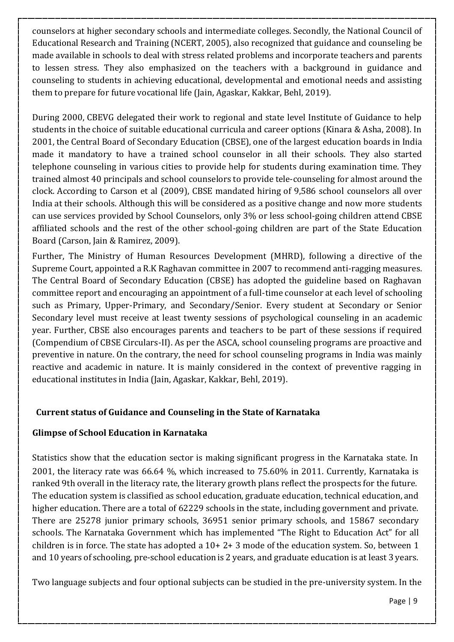counselors at higher secondary schools and intermediate colleges. Secondly, the National Council of Educational Research and Training (NCERT, 2005), also recognized that guidance and counseling be made available in schools to deal with stress related problems and incorporate teachers and parents to lessen stress. They also emphasized on the teachers with a background in guidance and counseling to students in achieving educational, developmental and emotional needs and assisting them to prepare for future vocational life (Jain, Agaskar, Kakkar, Behl, 2019).

During 2000, CBEVG delegated their work to regional and state level Institute of Guidance to help students in the choice of suitable educational curricula and career options (Kinara & Asha, 2008). In 2001, the Central Board of Secondary Education (CBSE), one of the largest education boards in India made it mandatory to have a trained school counselor in all their schools. They also started telephone counseling in various cities to provide help for students during examination time. They trained almost 40 principals and school counselors to provide tele-counseling for almost around the clock. According to Carson et al (2009), CBSE mandated hiring of 9,586 school counselors all over India at their schools. Although this will be considered as a positive change and now more students can use services provided by School Counselors, only 3% or less school-going children attend CBSE affiliated schools and the rest of the other school-going children are part of the State Education Board (Carson, Jain & Ramirez, 2009).

Further, The Ministry of Human Resources Development (MHRD), following a directive of the Supreme Court, appointed a R.K Raghavan committee in 2007 to recommend anti-ragging measures. The Central Board of Secondary Education (CBSE) has adopted the guideline based on Raghavan committee report and encouraging an appointment of a full-time counselor at each level of schooling such as Primary, Upper-Primary, and Secondary/Senior. Every student at Secondary or Senior Secondary level must receive at least twenty sessions of psychological counseling in an academic year. Further, CBSE also encourages parents and teachers to be part of these sessions if required (Compendium of CBSE Circulars-II). As per the ASCA, school counseling programs are proactive and preventive in nature. On the contrary, the need for school counseling programs in India was mainly reactive and academic in nature. It is mainly considered in the context of preventive ragging in educational institutes in India (Jain, Agaskar, Kakkar, Behl, 2019).

# **Current status of Guidance and Counseling in the State of Karnataka**

## **Glimpse of School Education in Karnataka**

Statistics show that the education sector is making significant progress in the Karnataka state. In 2001, the literacy rate was 66.64 %, which increased to 75.60% in 2011. Currently, Karnataka is ranked 9th overall in the literacy rate, the literary growth plans reflect the prospects for the future. The education system is classified as school education, graduate education, technical education, and higher education. There are a total of 62229 schools in the state, including government and private. There are 25278 junior primary schools, 36951 senior primary schools, and 15867 secondary schools. The Karnataka Government which has implemented "The Right to Education Act" for all children is in force. The state has adopted a 10+ 2+ 3 mode of the education system. So, between 1 and 10 years of schooling, pre-school education is 2 years, and graduate education is at least 3 years.

Two language subjects and four optional subjects can be studied in the pre-university system. In the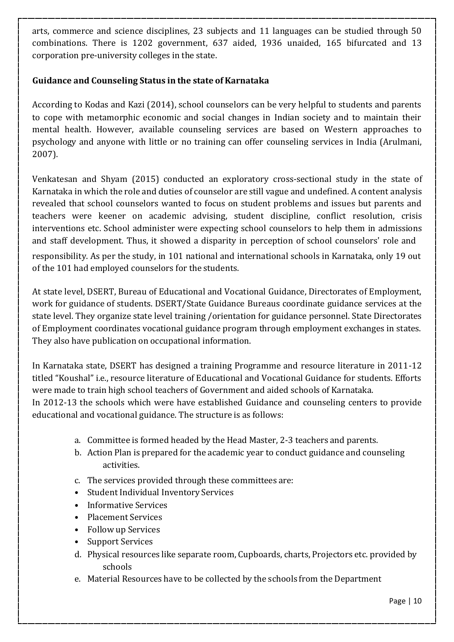arts, commerce and science disciplines, 23 subjects and 11 languages can be studied through 50 combinations. There is 1202 government, 637 aided, 1936 unaided, 165 bifurcated and 13 corporation pre-university colleges in the state.

## **Guidance and Counseling Status in the state of Karnataka**

According to Kodas and Kazi (2014), school counselors can be very helpful to students and parents to cope with metamorphic economic and social changes in Indian society and to maintain their mental health. However, available counseling services are based on Western approaches to psychology and anyone with little or no training can offer counseling services in India (Arulmani, 2007).

Venkatesan and Shyam (2015) conducted an exploratory cross-sectional study in the state of Karnataka in which the role and duties of counselor are still vague and undefined. A content analysis revealed that school counselors wanted to focus on student problems and issues but parents and teachers were keener on academic advising, student discipline, conflict resolution, crisis interventions etc. School administer were expecting school counselors to help them in admissions and staff development. Thus, it showed a disparity in perception of school counselors' role and

responsibility. As per the study, in 101 national and international schools in Karnataka, only 19 out of the 101 had employed counselors for the students.

At state level, DSERT, Bureau of Educational and Vocational Guidance, Directorates of Employment, work for guidance of students. DSERT/State Guidance Bureaus coordinate guidance services at the state level. They organize state level training /orientation for guidance personnel. State Directorates of Employment coordinates vocational guidance program through employment exchanges in states. They also have publication on occupational information.

In Karnataka state, DSERT has designed a training Programme and resource literature in 2011-12 titled "Koushal" i.e., resource literature of Educational and Vocational Guidance for students. Efforts were made to train high school teachers of Government and aided schools of Karnataka. In 2012-13 the schools which were have established Guidance and counseling centers to provide educational and vocational guidance. The structure is as follows:

- a. Committee is formed headed by the Head Master, 2-3 teachers and parents.
- b. Action Plan is prepared for the academic year to conduct guidance and counseling activities.
- c. The services provided through these committees are:
- Student Individual Inventory Services
- Informative Services
- Placement Services
- Follow up Services
- Support Services
- d. Physical resources like separate room, Cupboards, charts, Projectors etc. provided by schools
- e. Material Resources have to be collected by the schools from the Department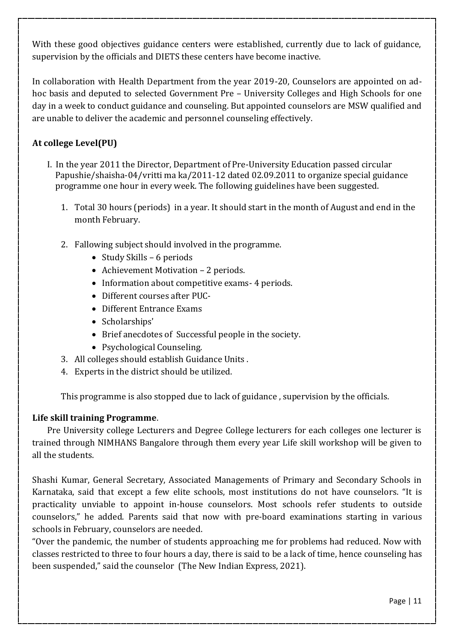With these good objectives guidance centers were established, currently due to lack of guidance, supervision by the officials and DIETS these centers have become inactive.

In collaboration with Health Department from the year 2019-20, Counselors are appointed on adhoc basis and deputed to selected Government Pre – University Colleges and High Schools for one day in a week to conduct guidance and counseling. But appointed counselors are MSW qualified and are unable to deliver the academic and personnel counseling effectively.

## **At college Level(PU)**

- I. In the year 2011 the Director, Department of Pre-University Education passed circular Papushie/shaisha-04/vritti ma ka/2011-12 dated 02.09.2011 to organize special guidance programme one hour in every week. The following guidelines have been suggested.
	- 1. Total 30 hours (periods) in a year. It should start in the month of August and end in the month February.
	- 2. Fallowing subject should involved in the programme.
		- Study Skills 6 periods
		- Achievement Motivation 2 periods.
		- Information about competitive exams 4 periods.
		- Different courses after PUC-
		- Different Entrance Exams
		- Scholarships'
		- Brief anecdotes of Successful people in the society.
		- Psychological Counseling.
	- 3. All colleges should establish Guidance Units .
	- 4. Experts in the district should be utilized.

This programme is also stopped due to lack of guidance , supervision by the officials.

## **Life skill training Programme**.

Pre University college Lecturers and Degree College lecturers for each colleges one lecturer is trained through NIMHANS Bangalore through them every year Life skill workshop will be given to all the students.

Shashi Kumar, General Secretary, Associated Managements of Primary and Secondary Schools in Karnataka, said that except a few elite schools, most institutions do not have counselors. "It is practicality unviable to appoint in-house counselors. Most schools refer students to outside counselors," he added. Parents said that now with pre-board examinations starting in various schools in February, counselors are needed.

"Over the pandemic, the number of students approaching me for problems had reduced. Now with classes restricted to three to four hours a day, there is said to be a lack of time, hence counseling has been suspended," said the counselor (The New Indian Express, 2021).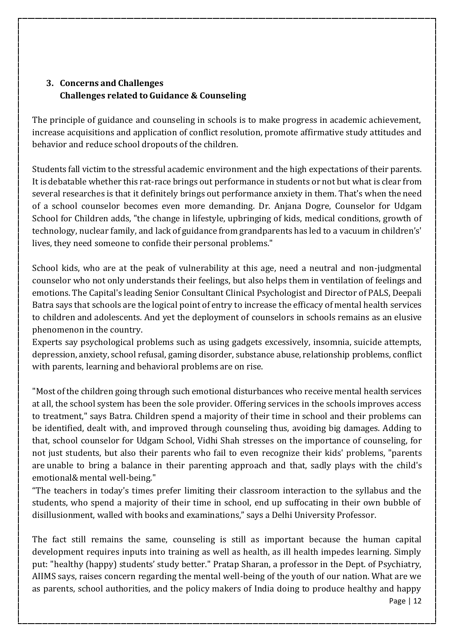# **3. Concerns and Challenges Challenges related to Guidance & Counseling**

The principle of guidance and counseling in schools is to make progress in academic achievement, increase acquisitions and application of conflict resolution, promote affirmative study attitudes and behavior and reduce school dropouts of the children.

Students fall victim to the stressful academic environment and the high expectations of their parents. It is debatable whether this rat-race brings out performance in students or not but what is clear from several researches is that it definitely brings out performance anxiety in them. That's when the need of a school counselor becomes even more demanding. Dr. Anjana Dogre, Counselor for Udgam School for Children adds, "the change in lifestyle, upbringing of kids, medical conditions, growth of technology, nuclear family, and lack of guidance from grandparents has led to a vacuum in children's' lives, they need someone to confide their personal problems."

School kids, who are at the peak of vulnerability at this age, need a neutral and non-judgmental counselor who not only understands their feelings, but also helps them in ventilation of feelings and emotions. The Capital's leading Senior Consultant Clinical Psychologist and Director of PALS, Deepali Batra says that schools are the logical point of entry to increase the efficacy of mental health services to children and adolescents. And yet the deployment of counselors in schools remains as an elusive phenomenon in the country.

Experts say psychological problems such as using gadgets excessively, insomnia, suicide attempts, depression, anxiety, school refusal, gaming disorder, substance abuse, relationship problems, conflict with parents, learning and behavioral problems are on rise.

"Most of the children going through such emotional disturbances who receive mental health services at all, the school system has been the sole provider. Offering services in the schools improves access to treatment," says Batra. Children spend a majority of their time in school and their problems can be identified, dealt with, and improved through counseling thus, avoiding big damages. Adding to that, school counselor for Udgam School, Vidhi Shah stresses on the importance of counseling, for not just students, but also their parents who fail to even recognize their kids' problems, "parents are unable to bring a balance in their parenting approach and that, sadly plays with the child's emotional& mental well-being."

"The teachers in today's times prefer limiting their classroom interaction to the syllabus and the students, who spend a majority of their time in school, end up suffocating in their own bubble of disillusionment, walled with books and examinations," says a Delhi University Professor.

The fact still remains the same, counseling is still as important because the human capital development requires inputs into training as well as health, as ill health impedes learning. Simply put: "healthy (happy) students' study better." Pratap Sharan, a professor in the Dept. of Psychiatry, AIIMS says, raises concern regarding the mental well-being of the youth of our nation. What are we as parents, school authorities, and the policy makers of India doing to produce healthy and happy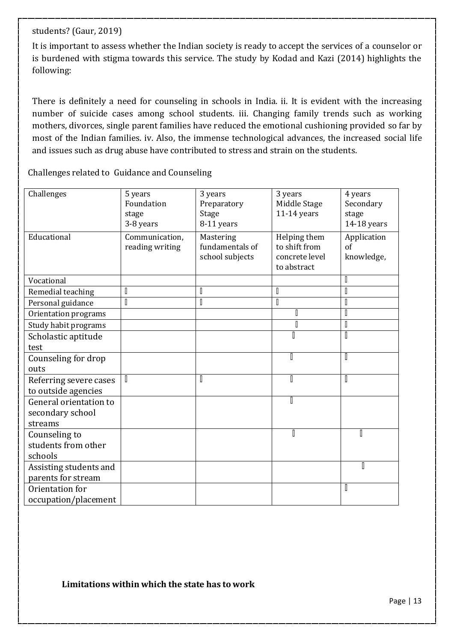#### students? (Gaur, 2019)

It is important to assess whether the Indian society is ready to accept the services of a counselor or is burdened with stigma towards this service. The study by Kodad and Kazi (2014) highlights the following:

There is definitely a need for counseling in schools in India. ii. It is evident with the increasing number of suicide cases among school students. iii. Changing family trends such as working mothers, divorces, single parent families have reduced the emotional cushioning provided so far by most of the Indian families. iv. Also, the immense technological advances, the increased social life and issues such as drug abuse have contributed to stress and strain on the students.

Challenges related to Guidance and Counseling

| Challenges                                            | 5 years<br>Foundation<br>stage<br>3-8 years | 3 years<br>Preparatory<br>Stage<br>8-11 years   | 3 years<br>Middle Stage<br>$11-14$ years                       | 4 years<br>Secondary<br>stage<br>14-18 years |
|-------------------------------------------------------|---------------------------------------------|-------------------------------------------------|----------------------------------------------------------------|----------------------------------------------|
| Educational                                           | Communication,<br>reading writing           | Mastering<br>fundamentals of<br>school subjects | Helping them<br>to shift from<br>concrete level<br>to abstract | Application<br>$\sigma$ f<br>knowledge,      |
| Vocational                                            |                                             |                                                 |                                                                | I                                            |
| Remedial teaching                                     | I                                           | I                                               | I                                                              | I                                            |
| Personal guidance                                     | $\mathbb I$                                 | I                                               | $\mathbb I$                                                    | $\mathbb I$                                  |
| Orientation programs                                  |                                             |                                                 | D                                                              | $\mathbb I$                                  |
| Study habit programs                                  |                                             |                                                 | $\begin{bmatrix} \phantom{-} \end{bmatrix}$                    | I                                            |
| Scholastic aptitude                                   |                                             |                                                 | O                                                              | I                                            |
| test                                                  |                                             |                                                 |                                                                |                                              |
| Counseling for drop                                   |                                             |                                                 |                                                                | I                                            |
| outs                                                  |                                             |                                                 |                                                                |                                              |
| Referring severe cases<br>to outside agencies         | I                                           | I                                               | I                                                              | I                                            |
| General orientation to<br>secondary school<br>streams |                                             |                                                 | Π                                                              |                                              |
| Counseling to<br>students from other                  |                                             |                                                 | Π                                                              | Π                                            |
| schools                                               |                                             |                                                 |                                                                |                                              |
| Assisting students and<br>parents for stream          |                                             |                                                 |                                                                | II                                           |
| Orientation for                                       |                                             |                                                 |                                                                | I                                            |
| occupation/placement                                  |                                             |                                                 |                                                                |                                              |

### **Limitations within which the state has to work**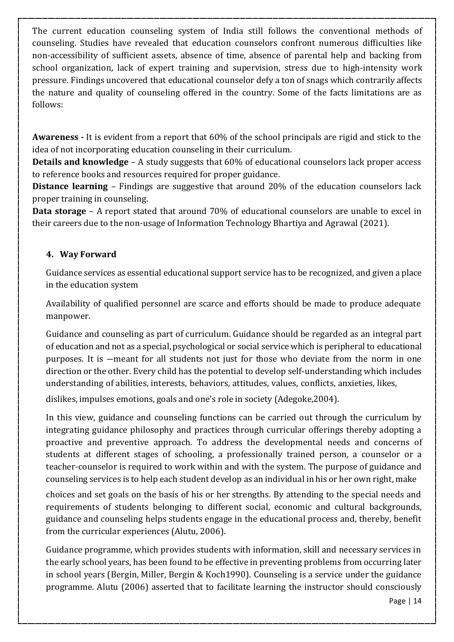The current education counseling system of India still follows the conventional methods of counseling. Studies have revealed that education counselors confront numerous difficulties like non-accessibility of sufficient assets, absence of time, absence of parental help and backing from school organization, lack of expert training and supervision, stress due to high-intensity work pressure. Findings uncovered that educational counselor defy a ton of snags which contrarily affects the nature and quality of counseling offered in the country. Some of the facts limitations are as follows:

**Awareness -** It is evident from a report that 60% of the school principals are rigid and stick to the idea of not incorporating education counseling in their curriculum.

**Details and knowledge** – A study suggests that 60% of educational counselors lack proper access to reference books and resources required for proper guidance.

**Distance learning** – Findings are suggestive that around 20% of the education counselors lack proper training in counseling.

**Data storage** – A report stated that around 70% of educational counselors are unable to excel in their careers due to the non-usage of Information Technology Bhartiya and Agrawal (2021).

## **4. Way Forward**

Guidance services as essential educational support service has to be recognized, and given a place in the education system

Availability of qualified personnel are scarce and efforts should be made to produce adequate manpower.

Guidance and counseling as part of curriculum. Guidance should be regarded as an integral part of education and not as a special, psychological or social servicewhich is peripheral to educational purposes. It is ―meant for all students not just for those who deviate from the norm in one direction or the other. Every child has the potential to develop self-understanding which includes understanding of abilities, interests, behaviors, attitudes, values, conflicts, anxieties, likes,

dislikes, impulses emotions, goals and one's role in society (Adegoke,2004).

In this view, guidance and counseling functions can be carried out through the curriculum by integrating guidance philosophy and practices through curricular offerings thereby adopting a proactive and preventive approach. To address the developmental needs and concerns of students at different stages of schooling, a professionally trained person, a counselor or a teacher-counselor is required to work within and with the system. The purpose of guidance and counseling services is to help each student develop as an individual in his or her own right, make

choices and set goals on the basis of his or her strengths. By attending to the special needs and requirements of students belonging to different social, economic and cultural backgrounds, guidance and counseling helps students engage in the educational process and, thereby, benefit from the curricular experiences (Alutu, 2006).

Guidance programme, which provides students with information, skill and necessary services in the early school years, has been found to be effective in preventing problems from occurring later in school years (Bergin, Miller, Bergin & Koch1990). Counseling is a service under the guidance programme. Alutu (2006) asserted that to facilitate learning the instructor should consciously

Page | 14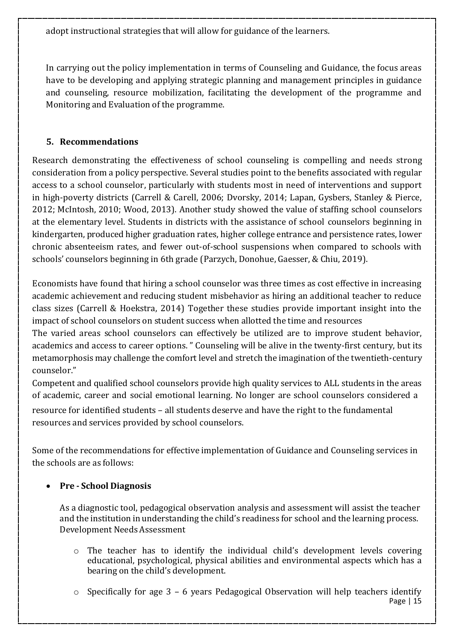adopt instructional strategies that will allow for guidance of the learners.

In carrying out the policy implementation in terms of Counseling and Guidance, the focus areas have to be developing and applying strategic planning and management principles in guidance and counseling, resource mobilization, facilitating the development of the programme and Monitoring and Evaluation of the programme.

## **5. Recommendations**

Research demonstrating the effectiveness of school counseling is compelling and needs strong consideration from a policy perspective. Several studies point to the benefits associated with regular access to a school counselor, particularly with students most in need of interventions and support in high-poverty districts (Carrell & Carell, 2006; Dvorsky, 2014; Lapan, Gysbers, Stanley & Pierce, 2012; McIntosh, 2010; Wood, 2013). Another study showed the value of staffing school counselors at the elementary level. Students in districts with the assistance of school counselors beginning in kindergarten, produced higher graduation rates, higher college entrance and persistence rates, lower chronic absenteeism rates, and fewer out-of-school suspensions when compared to schools with schools' counselors beginning in 6th grade (Parzych, Donohue, Gaesser, & Chiu, 2019).

Economists have found that hiring a school counselor was three times as cost effective in increasing academic achievement and reducing student misbehavior as hiring an additional teacher to reduce class sizes (Carrell & Hoekstra, 2014) Together these studies provide important insight into the impact of school counselors on student success when allotted the time and resources

The varied areas school counselors can effectively be utilized are to improve student behavior, academics and access to career options. " Counseling will be alive in the twenty-first century, but its metamorphosis may challenge the comfort level and stretch the imagination of the twentieth-century counselor."

Competent and qualified school counselors provide high quality services to ALL students in the areas of academic, career and social emotional learning. No longer are school counselors considered a

resource for identified students – all students deserve and have the right to the fundamental resources and services provided by school counselors.

Some of the recommendations for effective implementation of Guidance and Counseling services in the schools are as follows:

## **Pre - School Diagnosis**

As a diagnostic tool, pedagogical observation analysis and assessment will assist the teacher and the institution in understanding the child's readiness for school and the learning process. Development Needs Assessment

- o The teacher has to identify the individual child's development levels covering educational, psychological, physical abilities and environmental aspects which has a bearing on the child's development.
- Page | 15 o Specifically for age 3 – 6 years Pedagogical Observation will help teachers identify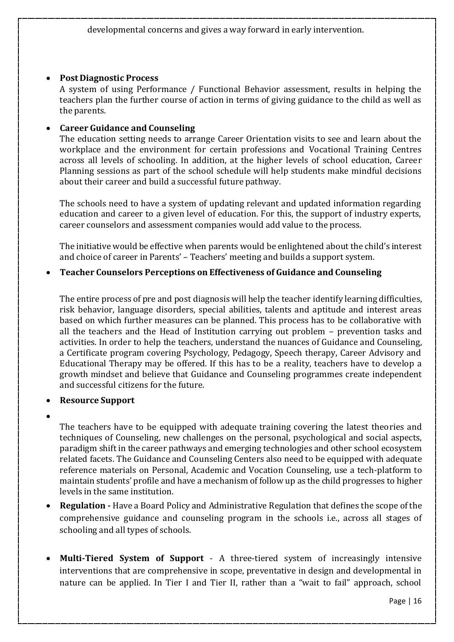### **Post Diagnostic Process**

A system of using Performance / Functional Behavior assessment, results in helping the teachers plan the further course of action in terms of giving guidance to the child as well as the parents.

#### **Career Guidance and Counseling**

The education setting needs to arrange Career Orientation visits to see and learn about the workplace and the environment for certain professions and Vocational Training Centres across all levels of schooling. In addition, at the higher levels of school education, Career Planning sessions as part of the school schedule will help students make mindful decisions about their career and build a successful future pathway.

The schools need to have a system of updating relevant and updated information regarding education and career to a given level of education. For this, the support of industry experts, career counselors and assessment companies would add value to the process.

The initiative would be effective when parents would be enlightened about the child's interest and choice of career in Parents' – Teachers' meeting and builds a support system.

### **Teacher Counselors Perceptions on Effectiveness of Guidance and Counseling**

The entire process of pre and post diagnosis will help the teacher identify learning difficulties, risk behavior, language disorders, special abilities, talents and aptitude and interest areas based on which further measures can be planned. This process has to be collaborative with all the teachers and the Head of Institution carrying out problem – prevention tasks and activities. In order to help the teachers, understand the nuances of Guidance and Counseling, a Certificate program covering Psychology, Pedagogy, Speech therapy, Career Advisory and Educational Therapy may be offered. If this has to be a reality, teachers have to develop a growth mindset and believe that Guidance and Counseling programmes create independent and successful citizens for the future.

### **Resource Support**

 $\bullet$ 

The teachers have to be equipped with adequate training covering the latest theories and techniques of Counseling, new challenges on the personal, psychological and social aspects, paradigm shift in the career pathways and emerging technologies and other school ecosystem related facets. The Guidance and Counseling Centers also need to be equipped with adequate reference materials on Personal, Academic and Vocation Counseling, use a tech-platform to maintain students' profile and have a mechanism of follow up as the child progresses to higher levels in the same institution.

- **Regulation -** Have a Board Policy and Administrative Regulation that defines the scope of the comprehensive guidance and counseling program in the schools i.e., across all stages of schooling and all types of schools.
- **Multi-Tiered System of Support** A three-tiered system of increasingly intensive interventions that are comprehensive in scope, preventative in design and developmental in nature can be applied. In Tier I and Tier II, rather than a "wait to fail" approach, school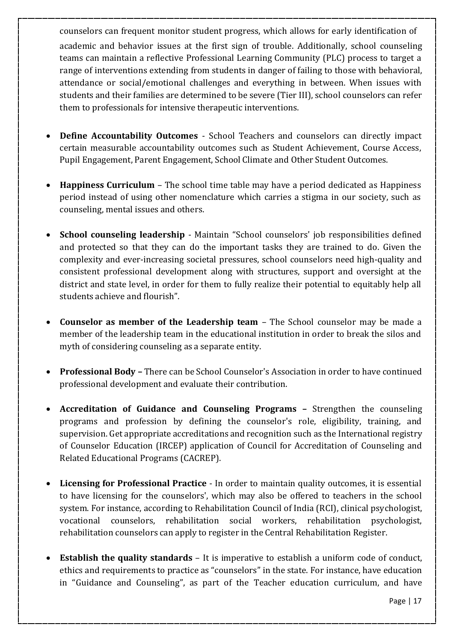counselors can frequent monitor student progress, which allows for early identification of academic and behavior issues at the first sign of trouble. Additionally, school counseling teams can maintain a reflective Professional Learning Community (PLC) process to target a range of interventions extending from students in danger of failing to those with behavioral, attendance or social/emotional challenges and everything in between. When issues with students and their families are determined to be severe (Tier III), school counselors can refer them to professionals for intensive therapeutic interventions.

- **Define Accountability Outcomes**  School Teachers and counselors can directly impact certain measurable accountability outcomes such as Student Achievement, Course Access, Pupil Engagement, Parent Engagement, School Climate and Other Student Outcomes.
- **Happiness Curriculum**  The school time table may have a period dedicated as Happiness period instead of using other nomenclature which carries a stigma in our society, such as counseling, mental issues and others.
- **School counseling leadership**  Maintain "School counselors' job responsibilities defined and protected so that they can do the important tasks they are trained to do. Given the complexity and ever-increasing societal pressures, school counselors need high-quality and consistent professional development along with structures, support and oversight at the district and state level, in order for them to fully realize their potential to equitably help all students achieve and flourish".
- **Counselor as member of the Leadership team**  The School counselor may be made a member of the leadership team in the educational institution in order to break the silos and myth of considering counseling as a separate entity.
- **Professional Body –** There can be School Counselor's Association in order to have continued professional development and evaluate their contribution.
- **Accreditation of Guidance and Counseling Programs –** Strengthen the counseling programs and profession by defining the counselor's role, eligibility, training, and supervision. Get appropriate accreditations and recognition such as the International registry of Counselor Education (IRCEP) application of Council for Accreditation of Counseling and Related Educational Programs (CACREP).
- **Licensing for Professional Practice**  In order to maintain quality outcomes, it is essential to have licensing for the counselors', which may also be offered to teachers in the school system. For instance, according to Rehabilitation Council of India (RCI), clinical psychologist, vocational counselors, rehabilitation social workers, rehabilitation psychologist, rehabilitation counselors can apply to register in the Central Rehabilitation Register.
- **Establish the quality standards**  It is imperative to establish a uniform code of conduct, ethics and requirements to practice as "counselors" in the state. For instance, have education in "Guidance and Counseling", as part of the Teacher education curriculum, and have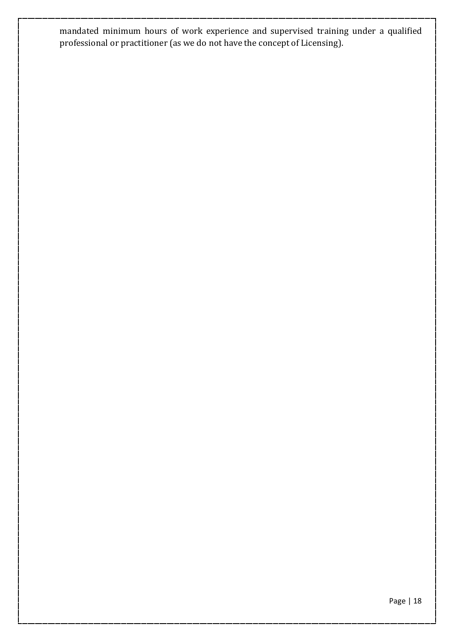mandated minimum hours of work experience and supervised training under a qualified professional or practitioner (as we do not have the concept of Licensing).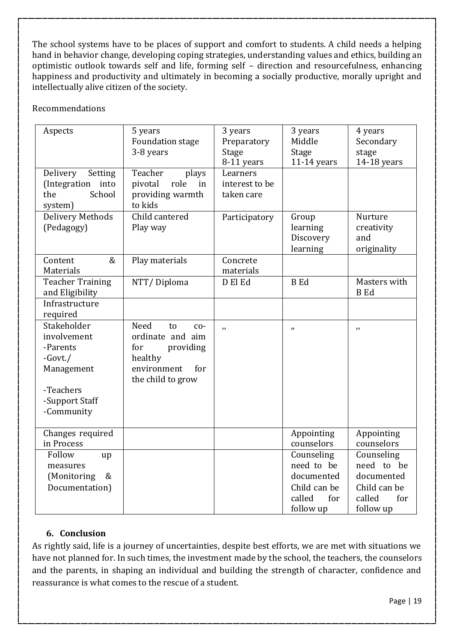The school systems have to be places of support and comfort to students. A child needs a helping hand in behavior change, developing coping strategies, understanding values and ethics, building an optimistic outlook towards self and life, forming self – direction and resourcefulness, enhancing happiness and productivity and ultimately in becoming a socially productive, morally upright and intellectually alive citizen of the society.

### Recommendations

| Aspects                                                                                                         | 5 years<br><b>Foundation stage</b><br>3-8 years                                                                   | 3 years<br>Preparatory<br>Stage<br>8-11 years | 3 years<br>Middle<br>Stage<br>$11-14$ years                                          | 4 years<br>Secondary<br>stage<br>$14-18$ years                                       |
|-----------------------------------------------------------------------------------------------------------------|-------------------------------------------------------------------------------------------------------------------|-----------------------------------------------|--------------------------------------------------------------------------------------|--------------------------------------------------------------------------------------|
| Delivery<br>Setting<br>(Integration into<br>School<br>the<br>system)                                            | Teacher<br>plays<br>pivotal<br>role<br>in<br>providing warmth<br>to kids                                          | Learners<br>interest to be<br>taken care      |                                                                                      |                                                                                      |
| Delivery Methods<br>(Pedagogy)                                                                                  | Child cantered<br>Play way                                                                                        | Participatory                                 | Group<br>learning<br>Discovery<br>learning                                           | Nurture<br>creativity<br>and<br>originality                                          |
| Content<br>&<br>Materials                                                                                       | Play materials                                                                                                    | Concrete<br>materials                         |                                                                                      |                                                                                      |
| <b>Teacher Training</b><br>and Eligibility                                                                      | NTT/Diploma                                                                                                       | D El Ed                                       | <b>B</b> Ed                                                                          | Masters with<br><b>B</b> Ed                                                          |
| Infrastructure<br>required                                                                                      |                                                                                                                   |                                               |                                                                                      |                                                                                      |
| Stakeholder<br>involvement<br>-Parents<br>$-Govt$ ./<br>Management<br>-Teachers<br>-Support Staff<br>-Community | Need<br>to<br>$CO-$<br>ordinate and aim<br>for<br>providing<br>healthy<br>environment<br>for<br>the child to grow | $\overline{v}$                                | $\boldsymbol{\eta}$                                                                  | $\boldsymbol{\mu}$                                                                   |
| Changes required<br>in Process                                                                                  |                                                                                                                   |                                               | Appointing<br>counselors                                                             | Appointing<br>counselors                                                             |
| Follow<br>up<br>measures<br>&<br>(Monitoring<br>Documentation)                                                  |                                                                                                                   |                                               | Counseling<br>need to be<br>documented<br>Child can be<br>called<br>for<br>follow up | Counseling<br>need to be<br>documented<br>Child can be<br>called<br>for<br>follow up |

## **6. Conclusion**

As rightly said, life is a journey of uncertainties, despite best efforts, we are met with situations we have not planned for. In such times, the investment made by the school, the teachers, the counselors and the parents, in shaping an individual and building the strength of character, confidence and reassurance is what comes to the rescue of a student.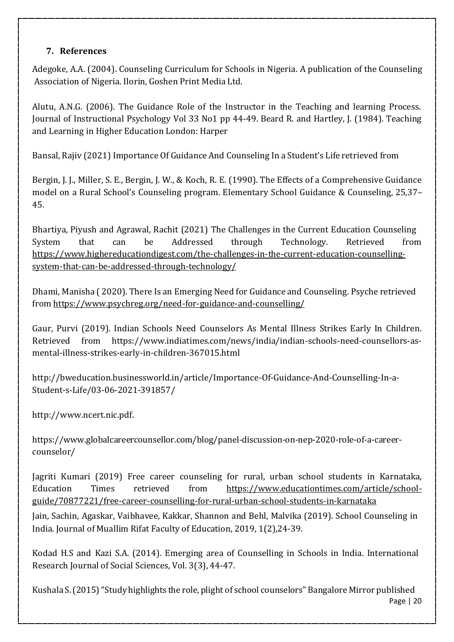## **7. References**

Adegoke, A.A. (2004). Counseling Curriculum for Schools in Nigeria. A publication of the Counseling Association of Nigeria. Ilorin, Goshen Print Media Ltd.

Alutu, A.N.G. (2006). The Guidance Role of the Instructor in the Teaching and learning Process. Journal of Instructional Psychology Vol 33 No1 pp 44-49. Beard R. and Hartley, J. (1984). Teaching and Learning in Higher Education London: Harper

Bansal, Rajiv (2021) Importance Of Guidance And Counseling In aStudent's Life retrieved from

Bergin, J. J., Miller, S. E., Bergin, J. W., & Koch, R. E. (1990). The Effects of a Comprehensive Guidance model on a Rural School's Counseling program. Elementary School Guidance & Counseling, 25,37– 45.

Bhartiya, Piyush and Agrawal, Rachit (2021) The Challenges in the Current Education Counseling System that can be Addressed through Technology. Retrieved from [https://www.highereducationdigest.com/the-challenges-in-the-current-education-counselling](https://www.highereducationdigest.com/the-challenges-in-the-current-education-counseling-system-that-can-be-addressed-through-technology/)[system-that-can-be-addressed-through-technology/](https://www.highereducationdigest.com/the-challenges-in-the-current-education-counseling-system-that-can-be-addressed-through-technology/)

Dhami, Manisha ( 2020). There Is an Emerging Need for Guidance and Counseling. Psyche retrieved from <https://www.psychreg.org/need-for-guidance-and-counselling/>

Gaur, Purvi (2019). Indian Schools Need Counselors As Mental Illness Strikes Early In Children. Retrieved from https[://www.indiatimes.com/news/india/indian-schools-need-counsellors-as](http://www.indiatimes.com/news/india/indian-schools-need-counsellors-as-)mental-illness-strikes-early-in-children-367015.html

<http://bweducation.businessworld.in/article/Importance-Of-Guidance-And-Counselling-In-a->Student-s-Life/03-06-2021-391857/

[http://www.ncert.nic.pdf.](http://www.ncert.nic.pdf/)

https[://www.globalcareercounsellor.com/blog/panel-discussion-on-nep-2020-role-of-a-career](http://www.globalcareercounsellor.com/blog/panel-discussion-on-nep-2020-role-of-a-career-)counselor/

Jagriti Kumari (2019) Free career counseling for rural, urban school students in Karnataka, Education Times retrieved from [https://www.educationtimes.com/article/school](https://www.educationtimes.com/article/school-guide/70877221/free-career-counselling-for-rural-urban-school-students-in-karnataka)[guide/70877221/free-career-counselling-for-rural-urban-school-students-in-karnataka](https://www.educationtimes.com/article/school-guide/70877221/free-career-counselling-for-rural-urban-school-students-in-karnataka)

Jain, Sachin, Agaskar, Vaibhavee, Kakkar, Shannon and Behl, Malvika (2019). School Counseling in India. Journal of Muallim Rifat Faculty of Education, 2019, 1(2),24-39.

Kodad H.S and Kazi S.A. (2014). Emerging area of Counselling in Schools in India. International Research Journal of Social Sciences, Vol. 3(3), 44-47.

Page | 20 Kushala S. (2015) "Study highlights the role, plight of school counselors" Bangalore Mirror published